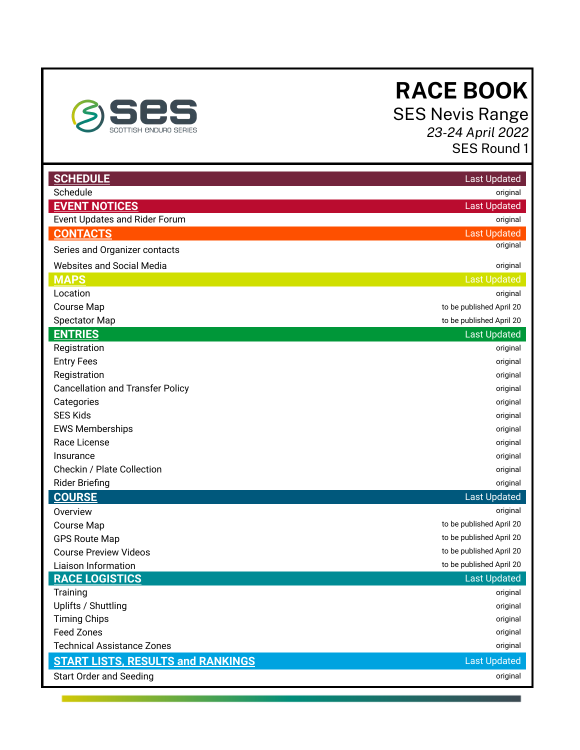<span id="page-0-0"></span>

# **RACE BOOK**

 SES Nevis Range  *23-24 April 2022*  SES Round 1

| <b>SCHEDULE</b>                          | <b>Last Updated</b>      |
|------------------------------------------|--------------------------|
| Schedule                                 | original                 |
| <b>EVENT NOTICES</b>                     | <b>Last Updated</b>      |
| Event Updates and Rider Forum            | original                 |
| <b>CONTACTS</b>                          | <b>Last Updated</b>      |
| Series and Organizer contacts            | original                 |
| <b>Websites and Social Media</b>         | original                 |
| <b>MAPS</b>                              | <b>Last Updated</b>      |
| Location                                 | original                 |
| Course Map                               | to be published April 20 |
| <b>Spectator Map</b>                     | to be published April 20 |
| <b>ENTRIES</b>                           | <b>Last Updated</b>      |
| Registration                             | original                 |
| <b>Entry Fees</b>                        | original                 |
| Registration                             | original                 |
| <b>Cancellation and Transfer Policy</b>  | original                 |
| Categories                               | original                 |
| <b>SES Kids</b>                          | original                 |
| <b>EWS Memberships</b>                   | original                 |
| Race License                             | original                 |
| Insurance                                | original                 |
| Checkin / Plate Collection               | original                 |
| <b>Rider Briefing</b>                    | original                 |
| <b>COURSE</b>                            | <b>Last Updated</b>      |
| Overview                                 | original                 |
| Course Map                               | to be published April 20 |
| <b>GPS Route Map</b>                     | to be published April 20 |
| <b>Course Preview Videos</b>             | to be published April 20 |
| Liaison Information                      | to be published April 20 |
| <b>RACE LOGISTICS</b>                    | <b>Last Updated</b>      |
| Training                                 | original                 |
| Uplifts / Shuttling                      | original                 |
| <b>Timing Chips</b>                      | original                 |
| <b>Feed Zones</b>                        | original                 |
| <b>Technical Assistance Zones</b>        | original                 |
| <b>START LISTS, RESULTS and RANKINGS</b> | <b>Last Updated</b>      |
| <b>Start Order and Seeding</b>           | original                 |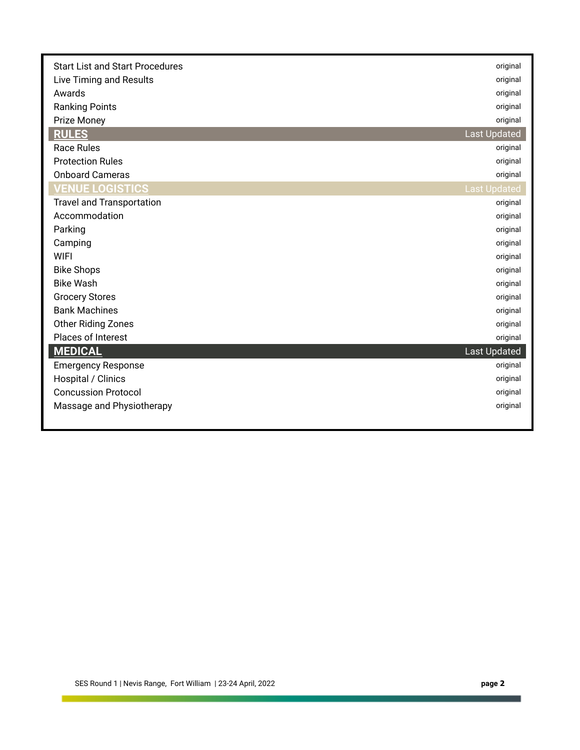| <b>Start List and Start Procedures</b> | original            |
|----------------------------------------|---------------------|
| Live Timing and Results                | original            |
| Awards                                 | original            |
| <b>Ranking Points</b>                  | original            |
| Prize Money                            | original            |
| <b>RULES</b>                           | <b>Last Updated</b> |
| <b>Race Rules</b>                      | original            |
| <b>Protection Rules</b>                | original            |
| <b>Onboard Cameras</b>                 | original            |
| <b>VENUE LOGISTICS</b>                 | <b>Last Updated</b> |
| <b>Travel and Transportation</b>       | original            |
| Accommodation                          | original            |
| Parking                                | original            |
| Camping                                | original            |
| <b>WIFI</b>                            | original            |
| <b>Bike Shops</b>                      | original            |
| <b>Bike Wash</b>                       | original            |
| <b>Grocery Stores</b>                  | original            |
| <b>Bank Machines</b>                   | original            |
| Other Riding Zones                     | original            |
| Places of Interest                     | original            |
| <b>MEDICAL</b>                         | <b>Last Updated</b> |
| <b>Emergency Response</b>              | original            |
| Hospital / Clinics                     | original            |
| <b>Concussion Protocol</b>             | original            |
| Massage and Physiotherapy              | original            |
|                                        |                     |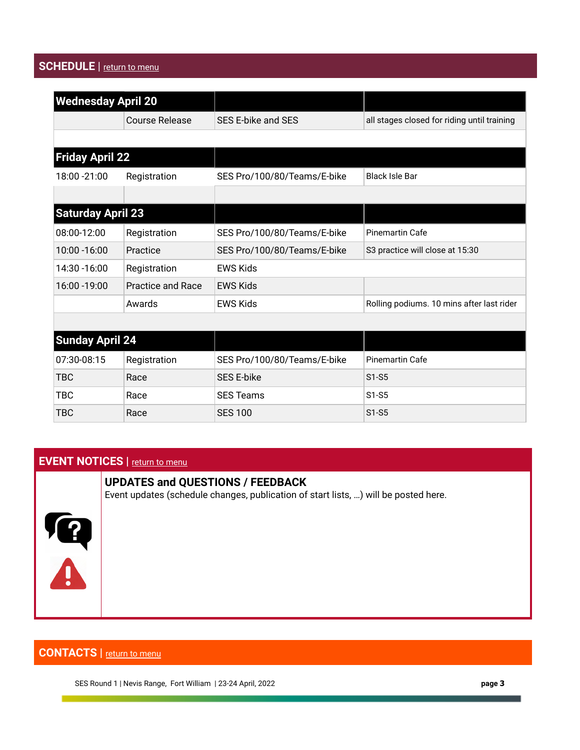# <span id="page-2-0"></span>**SCHEDULE** | return to menu

| <b>Wednesday April 20</b> |                          |                             |                                             |
|---------------------------|--------------------------|-----------------------------|---------------------------------------------|
|                           | <b>Course Release</b>    | SES E-bike and SES          | all stages closed for riding until training |
|                           |                          |                             |                                             |
| <b>Friday April 22</b>    |                          |                             |                                             |
| 18:00 - 21:00             | Registration             | SES Pro/100/80/Teams/E-bike | <b>Black Isle Bar</b>                       |
|                           |                          |                             |                                             |
| <b>Saturday April 23</b>  |                          |                             |                                             |
| 08:00-12:00               | Registration             | SES Pro/100/80/Teams/E-bike | <b>Pinemartin Cafe</b>                      |
| 10:00 - 16:00             | Practice                 | SES Pro/100/80/Teams/E-bike | S3 practice will close at 15:30             |
| 14:30 - 16:00             | Registration             | <b>EWS Kids</b>             |                                             |
| 16:00 - 19:00             | <b>Practice and Race</b> | <b>EWS Kids</b>             |                                             |
|                           | Awards                   | <b>EWS Kids</b>             | Rolling podiums. 10 mins after last rider   |
|                           |                          |                             |                                             |
| <b>Sunday April 24</b>    |                          |                             |                                             |
| 07:30-08:15               | Registration             | SES Pro/100/80/Teams/E-bike | <b>Pinemartin Cafe</b>                      |
| <b>TBC</b>                | Race                     | <b>SES E-bike</b>           | $S1-S5$                                     |
| <b>TBC</b>                | Race                     | <b>SES Teams</b>            | $S1-S5$                                     |
| TBC                       | Race                     | <b>SES 100</b>              | $S1-S5$                                     |

# <span id="page-2-1"></span>**EVENT NOTICES** | return to menu

## **UPDATES and QUESTIONS / FEEDBACK**

Event updates (schedule changes, publication of start lists, …) will be posted here.



# <span id="page-2-2"></span> **CONTACTS |** [return to menu](#page-0-0)

SES Round 1 | Nevis Range, Fort William | 23-24 April, 2022 **page 3**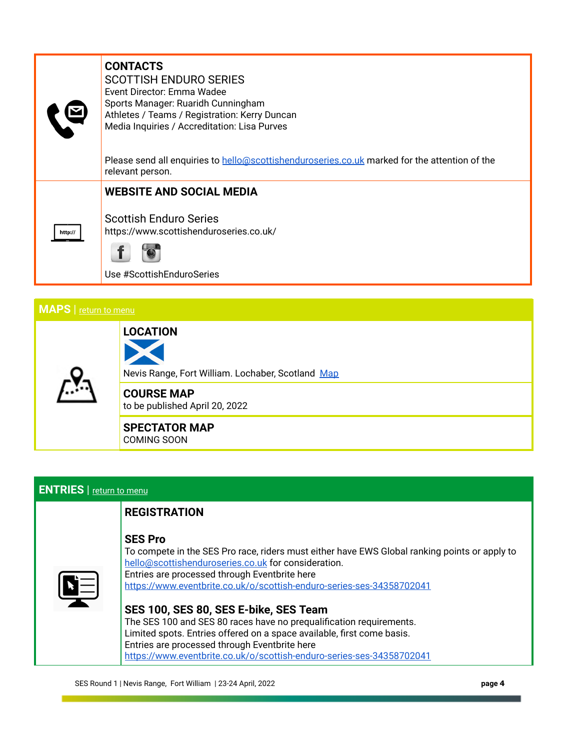|         | <b>CONTACTS</b><br><b>SCOTTISH ENDURO SERIES</b><br>Event Director: Emma Wadee<br>Sports Manager: Ruaridh Cunningham<br>Athletes / Teams / Registration: Kerry Duncan<br>Media Inquiries / Accreditation: Lisa Purves |
|---------|-----------------------------------------------------------------------------------------------------------------------------------------------------------------------------------------------------------------------|
|         | Please send all enquiries to hello@scottishenduroseries.co.uk marked for the attention of the<br>relevant person.                                                                                                     |
|         | <b>WEBSITE AND SOCIAL MEDIA</b>                                                                                                                                                                                       |
| http:// | <b>Scottish Enduro Series</b><br>https://www.scottishenduroseries.co.uk/                                                                                                                                              |
|         |                                                                                                                                                                                                                       |

Use #ScottishEnduroSeries

 **LOCATION** 

# <span id="page-3-0"></span>**MAPS** | [return to menu](#page-0-0)



Nevis Range, Fort William. Lochaber, Scotland Map

 **COURSE MAP**  to be published April 20, 2022

#### **SPECTATOR MAP**  COMING SOON

### <span id="page-3-1"></span>**ENTRIES** | [return to menu](#page-0-0)

### **REGISTRATION**

### **SES Pro**

 To compete in the SES Pro race, riders must either have EWS Global ranking points or apply to  [hello@scottishenduroseries.co.uk](mailto:hello@scottishenduroseries.co.uk) for consideration. Entries are processed through Eventbrite here <https://www.eventbrite.co.uk/o/scottish-enduro-series-ses-34358702041>

| SES 100, SES 80, SES E-bike, SES Team                                  |
|------------------------------------------------------------------------|
| The SES 100 and SES 80 races have no prequalification requirements.    |
| Limited spots. Entries offered on a space available, first come basis. |
| Entries are processed through Eventbrite here                          |
| https://www.eventbrite.co.uk/o/scottish-enduro-series-ses-34358702041  |
|                                                                        |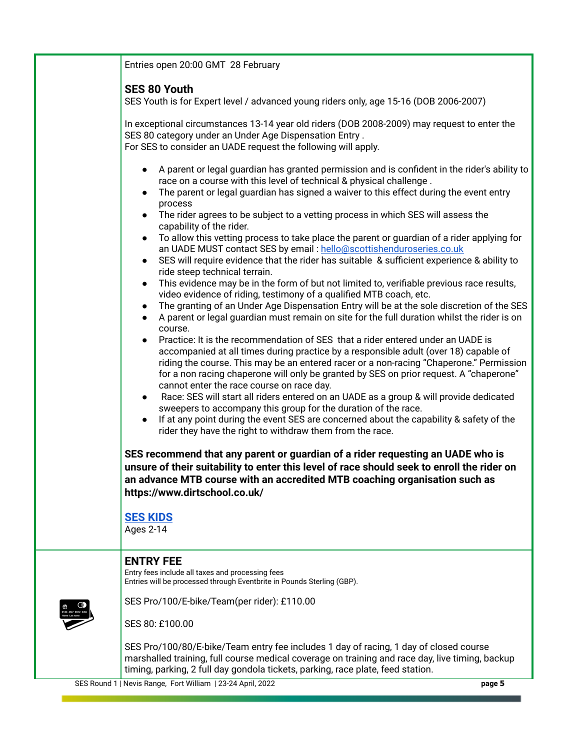| Entries open 20:00 GMT 28 February                                                                                                                                                                                                                                                                                                                                                                                                                                                                                                                                                                                                                                                                                                                                                                                                                                                                                                                                                                                                                                                                                                                                                                                                                                                                                                                                                                                                                                                                                                                                                                                                                                                                                                                                                                                                |
|-----------------------------------------------------------------------------------------------------------------------------------------------------------------------------------------------------------------------------------------------------------------------------------------------------------------------------------------------------------------------------------------------------------------------------------------------------------------------------------------------------------------------------------------------------------------------------------------------------------------------------------------------------------------------------------------------------------------------------------------------------------------------------------------------------------------------------------------------------------------------------------------------------------------------------------------------------------------------------------------------------------------------------------------------------------------------------------------------------------------------------------------------------------------------------------------------------------------------------------------------------------------------------------------------------------------------------------------------------------------------------------------------------------------------------------------------------------------------------------------------------------------------------------------------------------------------------------------------------------------------------------------------------------------------------------------------------------------------------------------------------------------------------------------------------------------------------------|
| <b>SES 80 Youth</b><br>SES Youth is for Expert level / advanced young riders only, age 15-16 (DOB 2006-2007)                                                                                                                                                                                                                                                                                                                                                                                                                                                                                                                                                                                                                                                                                                                                                                                                                                                                                                                                                                                                                                                                                                                                                                                                                                                                                                                                                                                                                                                                                                                                                                                                                                                                                                                      |
| In exceptional circumstances 13-14 year old riders (DOB 2008-2009) may request to enter the<br>SES 80 category under an Under Age Dispensation Entry.<br>For SES to consider an UADE request the following will apply.                                                                                                                                                                                                                                                                                                                                                                                                                                                                                                                                                                                                                                                                                                                                                                                                                                                                                                                                                                                                                                                                                                                                                                                                                                                                                                                                                                                                                                                                                                                                                                                                            |
| A parent or legal guardian has granted permission and is confident in the rider's ability to<br>race on a course with this level of technical & physical challenge.<br>The parent or legal guardian has signed a waiver to this effect during the event entry<br>process<br>The rider agrees to be subject to a vetting process in which SES will assess the<br>capability of the rider.<br>To allow this vetting process to take place the parent or guardian of a rider applying for<br>an UADE MUST contact SES by email: hello@scottishenduroseries.co.uk<br>SES will require evidence that the rider has suitable & sufficient experience & ability to<br>ride steep technical terrain.<br>This evidence may be in the form of but not limited to, verifiable previous race results,<br>video evidence of riding, testimony of a qualified MTB coach, etc.<br>The granting of an Under Age Dispensation Entry will be at the sole discretion of the SES<br>$\bullet$<br>A parent or legal guardian must remain on site for the full duration whilst the rider is on<br>course.<br>Practice: It is the recommendation of SES that a rider entered under an UADE is<br>accompanied at all times during practice by a responsible adult (over 18) capable of<br>riding the course. This may be an entered racer or a non-racing "Chaperone." Permission<br>for a non racing chaperone will only be granted by SES on prior request. A "chaperone"<br>cannot enter the race course on race day.<br>Race: SES will start all riders entered on an UADE as a group & will provide dedicated<br>$\bullet$<br>sweepers to accompany this group for the duration of the race.<br>If at any point during the event SES are concerned about the capability & safety of the<br>rider they have the right to withdraw them from the race. |
| SES recommend that any parent or guardian of a rider requesting an UADE who is<br>unsure of their suitability to enter this level of race should seek to enroll the rider on<br>an advance MTB course with an accredited MTB coaching organisation such as<br>https://www.dirtschool.co.uk/                                                                                                                                                                                                                                                                                                                                                                                                                                                                                                                                                                                                                                                                                                                                                                                                                                                                                                                                                                                                                                                                                                                                                                                                                                                                                                                                                                                                                                                                                                                                       |
| <b>SES KIDS</b><br>Ages 2-14                                                                                                                                                                                                                                                                                                                                                                                                                                                                                                                                                                                                                                                                                                                                                                                                                                                                                                                                                                                                                                                                                                                                                                                                                                                                                                                                                                                                                                                                                                                                                                                                                                                                                                                                                                                                      |
| <b>ENTRY FEE</b><br>Entry fees include all taxes and processing fees<br>Entries will be processed through Eventbrite in Pounds Sterling (GBP).                                                                                                                                                                                                                                                                                                                                                                                                                                                                                                                                                                                                                                                                                                                                                                                                                                                                                                                                                                                                                                                                                                                                                                                                                                                                                                                                                                                                                                                                                                                                                                                                                                                                                    |
| SES Pro/100/E-bike/Team(per rider): £110.00<br>SES 80: £100.00                                                                                                                                                                                                                                                                                                                                                                                                                                                                                                                                                                                                                                                                                                                                                                                                                                                                                                                                                                                                                                                                                                                                                                                                                                                                                                                                                                                                                                                                                                                                                                                                                                                                                                                                                                    |
| SES Pro/100/80/E-bike/Team entry fee includes 1 day of racing, 1 day of closed course<br>marshalled training, full course medical coverage on training and race day, live timing, backup<br>timing, parking, 2 full day gondola tickets, parking, race plate, feed station.                                                                                                                                                                                                                                                                                                                                                                                                                                                                                                                                                                                                                                                                                                                                                                                                                                                                                                                                                                                                                                                                                                                                                                                                                                                                                                                                                                                                                                                                                                                                                       |

SES Round 1 | Nevis Range, Fort William | 23-24 April, 2022 **page 5**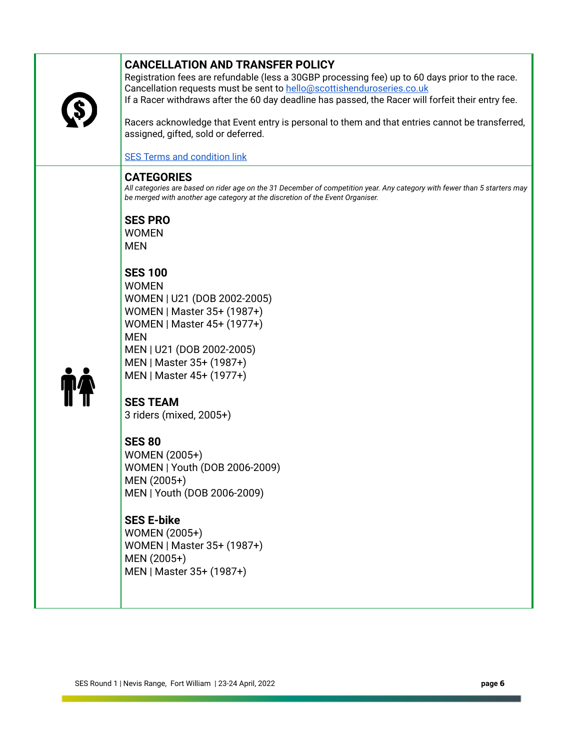| <b>CANCELLATION AND TRANSFER POLICY</b><br>Registration fees are refundable (less a 30GBP processing fee) up to 60 days prior to the race.<br>Cancellation requests must be sent to hello@scottishenduroseries.co.uk<br>If a Racer withdraws after the 60 day deadline has passed, the Racer will forfeit their entry fee.<br>Racers acknowledge that Event entry is personal to them and that entries cannot be transferred,<br>assigned, gifted, sold or deferred.<br><b>SES Terms and condition link</b><br><b>CATEGORIES</b><br>All categories are based on rider age on the 31 December of competition year. Any category with fewer than 5 starters may<br>be merged with another age category at the discretion of the Event Organiser.<br><b>SES PRO</b><br><b>WOMEN</b><br><b>MEN</b><br><b>SES 100</b><br><b>WOMEN</b><br>WOMEN   U21 (DOB 2002-2005)<br>WOMEN   Master 35+ (1987+)<br>WOMEN   Master 45+ (1977+)<br><b>MEN</b><br>MEN   U21 (DOB 2002-2005)<br>MEN   Master 35+ (1987+)<br>MEN   Master 45+ (1977+)<br><b>SES TEAM</b><br>3 riders (mixed, 2005+)<br><b>SES 80</b><br>WOMEN (2005+)<br>WOMEN   Youth (DOB 2006-2009)<br>MEN (2005+)<br>MEN   Youth (DOB 2006-2009)<br><b>SES E-bike</b><br>WOMEN (2005+)<br>WOMEN   Master 35+ (1987+)<br>MEN (2005+)<br>MEN   Master 35+ (1987+) |  |  |
|--------------------------------------------------------------------------------------------------------------------------------------------------------------------------------------------------------------------------------------------------------------------------------------------------------------------------------------------------------------------------------------------------------------------------------------------------------------------------------------------------------------------------------------------------------------------------------------------------------------------------------------------------------------------------------------------------------------------------------------------------------------------------------------------------------------------------------------------------------------------------------------------------------------------------------------------------------------------------------------------------------------------------------------------------------------------------------------------------------------------------------------------------------------------------------------------------------------------------------------------------------------------------------------------------------------|--|--|
|                                                                                                                                                                                                                                                                                                                                                                                                                                                                                                                                                                                                                                                                                                                                                                                                                                                                                                                                                                                                                                                                                                                                                                                                                                                                                                              |  |  |
|                                                                                                                                                                                                                                                                                                                                                                                                                                                                                                                                                                                                                                                                                                                                                                                                                                                                                                                                                                                                                                                                                                                                                                                                                                                                                                              |  |  |
|                                                                                                                                                                                                                                                                                                                                                                                                                                                                                                                                                                                                                                                                                                                                                                                                                                                                                                                                                                                                                                                                                                                                                                                                                                                                                                              |  |  |
|                                                                                                                                                                                                                                                                                                                                                                                                                                                                                                                                                                                                                                                                                                                                                                                                                                                                                                                                                                                                                                                                                                                                                                                                                                                                                                              |  |  |
|                                                                                                                                                                                                                                                                                                                                                                                                                                                                                                                                                                                                                                                                                                                                                                                                                                                                                                                                                                                                                                                                                                                                                                                                                                                                                                              |  |  |
|                                                                                                                                                                                                                                                                                                                                                                                                                                                                                                                                                                                                                                                                                                                                                                                                                                                                                                                                                                                                                                                                                                                                                                                                                                                                                                              |  |  |
|                                                                                                                                                                                                                                                                                                                                                                                                                                                                                                                                                                                                                                                                                                                                                                                                                                                                                                                                                                                                                                                                                                                                                                                                                                                                                                              |  |  |
|                                                                                                                                                                                                                                                                                                                                                                                                                                                                                                                                                                                                                                                                                                                                                                                                                                                                                                                                                                                                                                                                                                                                                                                                                                                                                                              |  |  |
|                                                                                                                                                                                                                                                                                                                                                                                                                                                                                                                                                                                                                                                                                                                                                                                                                                                                                                                                                                                                                                                                                                                                                                                                                                                                                                              |  |  |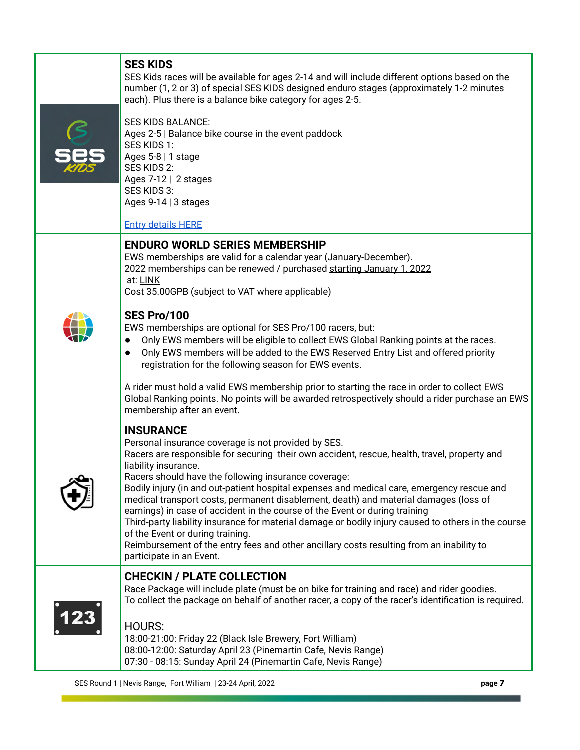| SES Kids races will be available for ages 2-14 and will include different options based on the<br>number (1, 2 or 3) of special SES KIDS designed enduro stages (approximately 1-2 minutes<br>each). Plus there is a balance bike category for ages 2-5.                                                                                                                                                                                                                                                                                                                                                                                                                                                                                                                    |
|-----------------------------------------------------------------------------------------------------------------------------------------------------------------------------------------------------------------------------------------------------------------------------------------------------------------------------------------------------------------------------------------------------------------------------------------------------------------------------------------------------------------------------------------------------------------------------------------------------------------------------------------------------------------------------------------------------------------------------------------------------------------------------|
| <b>SES KIDS BALANCE:</b><br>Ages 2-5   Balance bike course in the event paddock<br>SES KIDS 1:<br>Ages 5-8   1 stage<br>SES KIDS 2:<br>Ages 7-12   2 stages<br>SES KIDS 3:<br>Ages 9-14   3 stages<br><b>Entry details HERE</b>                                                                                                                                                                                                                                                                                                                                                                                                                                                                                                                                             |
| <b>ENDURO WORLD SERIES MEMBERSHIP</b>                                                                                                                                                                                                                                                                                                                                                                                                                                                                                                                                                                                                                                                                                                                                       |
| EWS memberships are valid for a calendar year (January-December).<br>2022 memberships can be renewed / purchased starting January 1, 2022<br>at: LINK<br>Cost 35.00GPB (subject to VAT where applicable)                                                                                                                                                                                                                                                                                                                                                                                                                                                                                                                                                                    |
| SES Pro/100<br>EWS memberships are optional for SES Pro/100 racers, but:<br>Only EWS members will be eligible to collect EWS Global Ranking points at the races.<br>$\bullet$<br>Only EWS members will be added to the EWS Reserved Entry List and offered priority<br>$\bullet$<br>registration for the following season for EWS events.                                                                                                                                                                                                                                                                                                                                                                                                                                   |
| A rider must hold a valid EWS membership prior to starting the race in order to collect EWS<br>Global Ranking points. No points will be awarded retrospectively should a rider purchase an EWS<br>membership after an event.                                                                                                                                                                                                                                                                                                                                                                                                                                                                                                                                                |
| <b>INSURANCE</b>                                                                                                                                                                                                                                                                                                                                                                                                                                                                                                                                                                                                                                                                                                                                                            |
| Personal insurance coverage is not provided by SES.<br>Racers are responsible for securing their own accident, rescue, health, travel, property and<br>liability insurance.<br>Racers should have the following insurance coverage:<br>Bodily injury (in and out-patient hospital expenses and medical care, emergency rescue and<br>medical transport costs, permanent disablement, death) and material damages (loss of<br>earnings) in case of accident in the course of the Event or during training<br>Third-party liability insurance for material damage or bodily injury caused to others in the course<br>of the Event or during training.<br>Reimbursement of the entry fees and other ancillary costs resulting from an inability to<br>participate in an Event. |
| <b>CHECKIN / PLATE COLLECTION</b><br>Race Package will include plate (must be on bike for training and race) and rider goodies.<br>To collect the package on behalf of another racer, a copy of the racer's identification is required.                                                                                                                                                                                                                                                                                                                                                                                                                                                                                                                                     |
| <b>HOURS:</b><br>18:00-21:00: Friday 22 (Black Isle Brewery, Fort William)<br>08:00-12:00: Saturday April 23 (Pinemartin Cafe, Nevis Range)<br>07:30 - 08:15: Sunday April 24 (Pinemartin Cafe, Nevis Range)                                                                                                                                                                                                                                                                                                                                                                                                                                                                                                                                                                |

 **SES KIDS**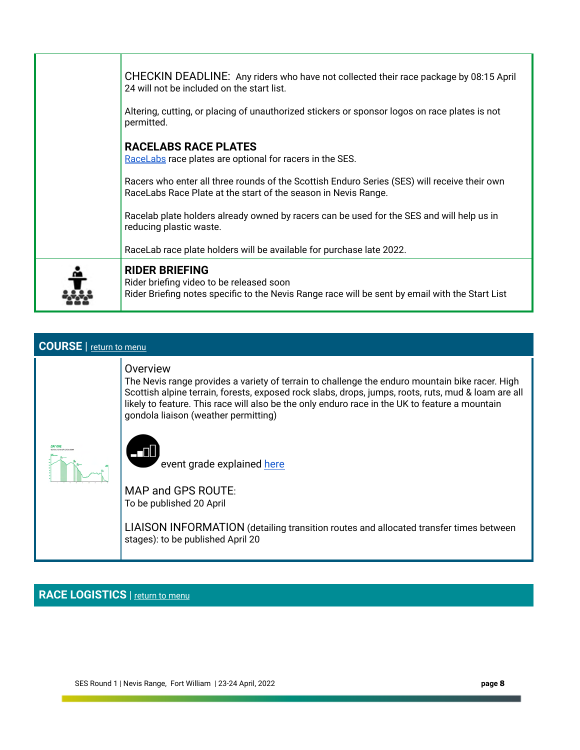| CHECKIN DEADLINE: Any riders who have not collected their race package by 08:15 April<br>24 will not be included on the start list.<br>Altering, cutting, or placing of unauthorized stickers or sponsor logos on race plates is not<br>permitted. |
|----------------------------------------------------------------------------------------------------------------------------------------------------------------------------------------------------------------------------------------------------|
| <b>RACELABS RACE PLATES</b><br>RaceLabs race plates are optional for racers in the SES.                                                                                                                                                            |
| Racers who enter all three rounds of the Scottish Enduro Series (SES) will receive their own<br>RaceLabs Race Plate at the start of the season in Nevis Range.                                                                                     |
| Racelab plate holders already owned by racers can be used for the SES and will help us in<br>reducing plastic waste.                                                                                                                               |
| RaceLab race plate holders will be available for purchase late 2022.                                                                                                                                                                               |
| <b>RIDER BRIEFING</b><br>Rider briefing video to be released soon<br>Rider Briefing notes specific to the Nevis Range race will be sent by email with the Start List                                                                               |

## <span id="page-7-0"></span> **COURSE** | [return to menu](#page-0-0)

#### **Overview**

 The Nevis range provides a variety of terrain to challenge the enduro mountain bike racer. High Scottish alpine terrain, forests, exposed rock slabs, drops, jumps, roots, ruts, mud & loam are all likely to feature. This race will also be the only enduro race in the UK to feature a mountain gondola liaison (weather permitting)





event grade explained here

 MAP and GPS ROUTE: To be published 20 April

 LIAISON INFORMATION (detailing transition routes and allocated transfer times between stages): to be published April 20

<span id="page-7-1"></span>**RACE LOGISTICS** | [return to menu](#page-0-0)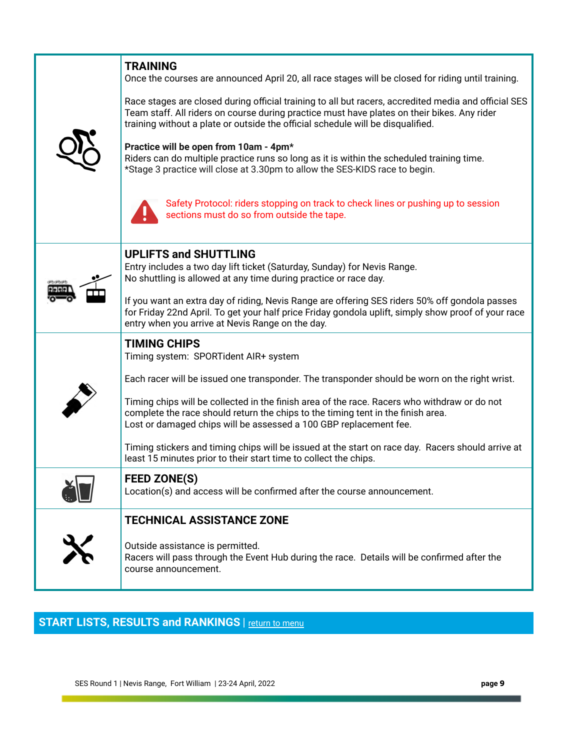| <b>TRAINING</b><br>Once the courses are announced April 20, all race stages will be closed for riding until training.<br>Race stages are closed during official training to all but racers, accredited media and official SES<br>Team staff. All riders on course during practice must have plates on their bikes. Any rider<br>training without a plate or outside the official schedule will be disqualified.<br>Practice will be open from 10am - 4pm*<br>Riders can do multiple practice runs so long as it is within the scheduled training time.<br>*Stage 3 practice will close at 3.30pm to allow the SES-KIDS race to begin.<br>Safety Protocol: riders stopping on track to check lines or pushing up to session<br>sections must do so from outside the tape. |
|--------------------------------------------------------------------------------------------------------------------------------------------------------------------------------------------------------------------------------------------------------------------------------------------------------------------------------------------------------------------------------------------------------------------------------------------------------------------------------------------------------------------------------------------------------------------------------------------------------------------------------------------------------------------------------------------------------------------------------------------------------------------------|
| <b>UPLIFTS and SHUTTLING</b><br>Entry includes a two day lift ticket (Saturday, Sunday) for Nevis Range.<br>No shuttling is allowed at any time during practice or race day.<br>If you want an extra day of riding, Nevis Range are offering SES riders 50% off gondola passes<br>for Friday 22nd April. To get your half price Friday gondola uplift, simply show proof of your race<br>entry when you arrive at Nevis Range on the day.                                                                                                                                                                                                                                                                                                                                |
| <b>TIMING CHIPS</b><br>Timing system: SPORTident AIR+ system<br>Each racer will be issued one transponder. The transponder should be worn on the right wrist.<br>Timing chips will be collected in the finish area of the race. Racers who withdraw or do not<br>complete the race should return the chips to the timing tent in the finish area.<br>Lost or damaged chips will be assessed a 100 GBP replacement fee.<br>Timing stickers and timing chips will be issued at the start on race day. Racers should arrive at<br>least 15 minutes prior to their start time to collect the chips.                                                                                                                                                                          |
| <b>FEED ZONE(S)</b><br>Location(s) and access will be confirmed after the course announcement.<br><b>TECHNICAL ASSISTANCE ZONE</b><br>Outside assistance is permitted.<br>Racers will pass through the Event Hub during the race. Details will be confirmed after the<br>course announcement.                                                                                                                                                                                                                                                                                                                                                                                                                                                                            |

# <span id="page-8-0"></span>**START LISTS, RESULTS and RANKINGS** | return to menu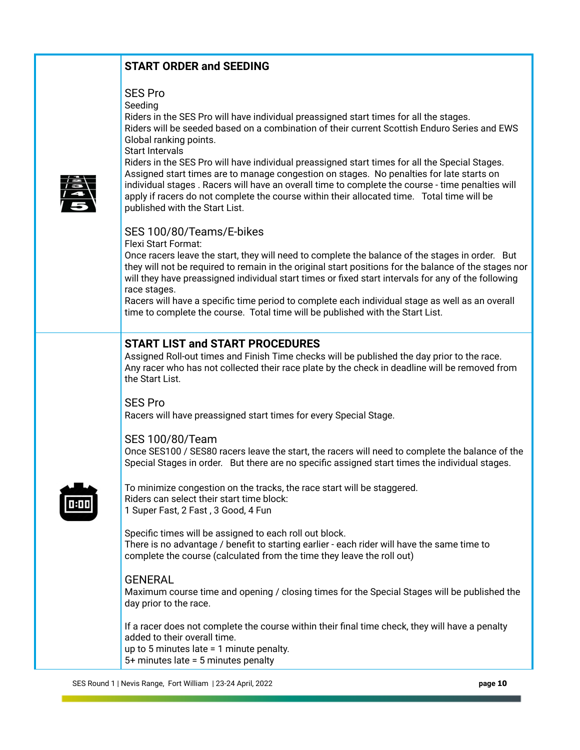# **START ORDER and SEEDING**

## SES Pro

Seeding

 Riders in the SES Pro will have individual preassigned start times for all the stages. Riders will be seeded based on a combination of their current Scottish Enduro Series and EWS Global ranking points.

Start Intervals



 Riders in the SES Pro will have individual preassigned start times for all the Special Stages. Assigned start times are to manage congestion on stages. No penalties for late starts on individual stages . Racers will have an overall time to complete the course - time penalties will apply if racers do not complete the course within their allocated time. Total time will be published with the Start List.

### SES 100/80/Teams/E-bikes

Flexi Start Format:

 Once racers leave the start, they will need to complete the balance of the stages in order. But they will not be required to remain in the original start positions for the balance of the stages nor will they have preassigned individual start times or fixed start intervals for any of the following race stages.

 Racers will have a specific time period to complete each individual stage as well as an overall time to complete the course. Total time will be published with the Start List.

# **START LIST and START PROCEDURES**

 Assigned Roll-out times and Finish Time checks will be published the day prior to the race. Any racer who has not collected their race plate by the check in deadline will be removed from the Start List.

 SES Pro Racers will have preassigned start times for every Special Stage.

### SES 100/80/Team

 Once SES100 / SES80 racers leave the start, the racers will need to complete the balance of the Special Stages in order. But there are no specific assigned start times the individual stages.



 To minimize congestion on the tracks, the race start will be staggered. Riders can select their start time block: 1 Super Fast, 2 Fast , 3 Good, 4 Fun

 Specific times will be assigned to each roll out block. There is no advantage / benefit to starting earlier - each rider will have the same time to complete the course (calculated from the time they leave the roll out)

### GENERAL

 Maximum course time and opening / closing times for the Special Stages will be published the day prior to the race.

 If a racer does not complete the course within their final time check, they will have a penalty added to their overall time. up to 5 minutes late = 1 minute penalty. 5+ minutes late = 5 minutes penalty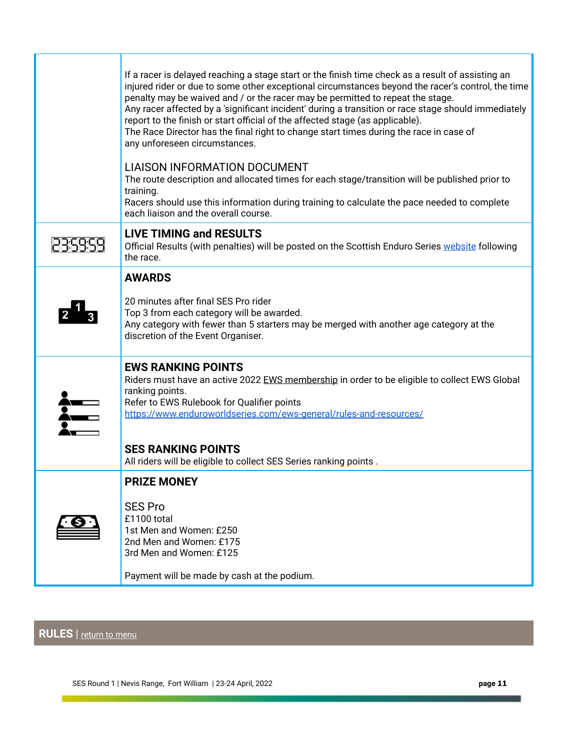| If a racer is delayed reaching a stage start or the finish time check as a result of assisting an<br>injured rider or due to some other exceptional circumstances beyond the racer's control, the time<br>penalty may be waived and / or the racer may be permitted to repeat the stage.<br>Any racer affected by a 'significant incident' during a transition or race stage should immediately<br>report to the finish or start official of the affected stage (as applicable).<br>The Race Director has the final right to change start times during the race in case of<br>any unforeseen circumstances.<br><b>LIAISON INFORMATION DOCUMENT</b><br>The route description and allocated times for each stage/transition will be published prior to<br>training.<br>Racers should use this information during training to calculate the pace needed to complete |
|------------------------------------------------------------------------------------------------------------------------------------------------------------------------------------------------------------------------------------------------------------------------------------------------------------------------------------------------------------------------------------------------------------------------------------------------------------------------------------------------------------------------------------------------------------------------------------------------------------------------------------------------------------------------------------------------------------------------------------------------------------------------------------------------------------------------------------------------------------------|
| each liaison and the overall course.                                                                                                                                                                                                                                                                                                                                                                                                                                                                                                                                                                                                                                                                                                                                                                                                                             |
| <b>LIVE TIMING and RESULTS</b><br>Official Results (with penalties) will be posted on the Scottish Enduro Series website following<br>the race.                                                                                                                                                                                                                                                                                                                                                                                                                                                                                                                                                                                                                                                                                                                  |
| <b>AWARDS</b>                                                                                                                                                                                                                                                                                                                                                                                                                                                                                                                                                                                                                                                                                                                                                                                                                                                    |
| 20 minutes after final SES Pro rider<br>Top 3 from each category will be awarded.<br>Any category with fewer than 5 starters may be merged with another age category at the<br>discretion of the Event Organiser.                                                                                                                                                                                                                                                                                                                                                                                                                                                                                                                                                                                                                                                |
| <b>EWS RANKING POINTS</b><br>Riders must have an active 2022 EWS membership in order to be eligible to collect EWS Global<br>ranking points.<br>Refer to EWS Rulebook for Qualifier points<br>https://www.enduroworldseries.com/ews-general/rules-and-resources/<br><b>SES RANKING POINTS</b>                                                                                                                                                                                                                                                                                                                                                                                                                                                                                                                                                                    |
| All riders will be eligible to collect SES Series ranking points.                                                                                                                                                                                                                                                                                                                                                                                                                                                                                                                                                                                                                                                                                                                                                                                                |
| <b>PRIZE MONEY</b>                                                                                                                                                                                                                                                                                                                                                                                                                                                                                                                                                                                                                                                                                                                                                                                                                                               |
| <b>SES Pro</b><br>£1100 total<br>1st Men and Women: £250<br>2nd Men and Women: £175<br>3rd Men and Women: £125                                                                                                                                                                                                                                                                                                                                                                                                                                                                                                                                                                                                                                                                                                                                                   |
| Payment will be made by cash at the podium.                                                                                                                                                                                                                                                                                                                                                                                                                                                                                                                                                                                                                                                                                                                                                                                                                      |

# <span id="page-10-0"></span> **RULES** | [return to menu](#page-0-0)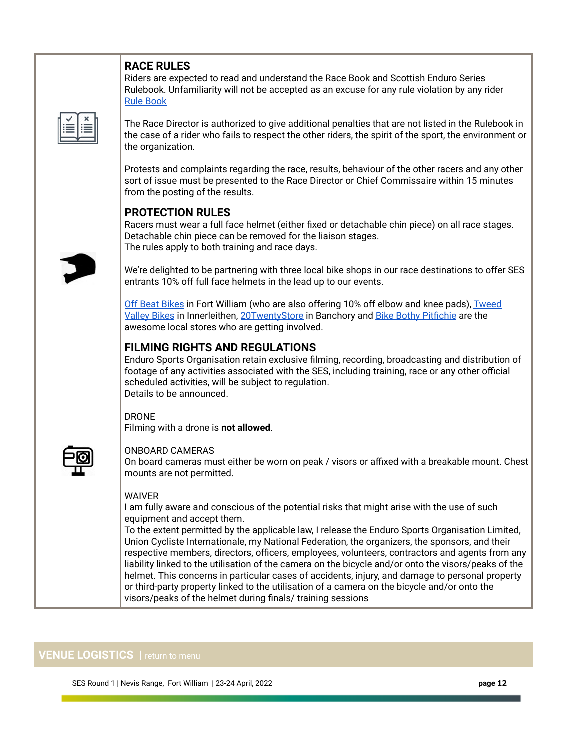| <b>RACE RULES</b><br>Riders are expected to read and understand the Race Book and Scottish Enduro Series<br>Rulebook. Unfamiliarity will not be accepted as an excuse for any rule violation by any rider<br><b>Rule Book</b><br>The Race Director is authorized to give additional penalties that are not listed in the Rulebook in<br>the case of a rider who fails to respect the other riders, the spirit of the sport, the environment or<br>the organization.<br>Protests and complaints regarding the race, results, behaviour of the other racers and any other<br>sort of issue must be presented to the Race Director or Chief Commissaire within 15 minutes<br>from the posting of the results.                                                                                                                                                                                                                                                                                                                     |
|--------------------------------------------------------------------------------------------------------------------------------------------------------------------------------------------------------------------------------------------------------------------------------------------------------------------------------------------------------------------------------------------------------------------------------------------------------------------------------------------------------------------------------------------------------------------------------------------------------------------------------------------------------------------------------------------------------------------------------------------------------------------------------------------------------------------------------------------------------------------------------------------------------------------------------------------------------------------------------------------------------------------------------|
| <b>PROTECTION RULES</b><br>Racers must wear a full face helmet (either fixed or detachable chin piece) on all race stages.<br>Detachable chin piece can be removed for the liaison stages.<br>The rules apply to both training and race days.<br>We're delighted to be partnering with three local bike shops in our race destinations to offer SES<br>entrants 10% off full face helmets in the lead up to our events.<br>Off Beat Bikes in Fort William (who are also offering 10% off elbow and knee pads), Tweed<br>Valley Bikes in Innerleithen, 20TwentyStore in Banchory and Bike Bothy Pitfichie are the<br>awesome local stores who are getting involved.                                                                                                                                                                                                                                                                                                                                                             |
| <b>FILMING RIGHTS AND REGULATIONS</b><br>Enduro Sports Organisation retain exclusive filming, recording, broadcasting and distribution of<br>footage of any activities associated with the SES, including training, race or any other official<br>scheduled activities, will be subject to regulation.<br>Details to be announced.<br><b>DRONE</b>                                                                                                                                                                                                                                                                                                                                                                                                                                                                                                                                                                                                                                                                             |
| Filming with a drone is not allowed.<br><b>ONBOARD CAMERAS</b><br>On board cameras must either be worn on peak / visors or affixed with a breakable mount. Chest<br>mounts are not permitted.<br><b>WAIVER</b><br>I am fully aware and conscious of the potential risks that might arise with the use of such<br>equipment and accept them.<br>To the extent permitted by the applicable law, I release the Enduro Sports Organisation Limited,<br>Union Cycliste Internationale, my National Federation, the organizers, the sponsors, and their<br>respective members, directors, officers, employees, volunteers, contractors and agents from any<br>liability linked to the utilisation of the camera on the bicycle and/or onto the visors/peaks of the<br>helmet. This concerns in particular cases of accidents, injury, and damage to personal property<br>or third-party property linked to the utilisation of a camera on the bicycle and/or onto the<br>visors/peaks of the helmet during finals/ training sessions |

# <span id="page-11-0"></span>**VENUE LOGISTICS** | <u>return to menu</u>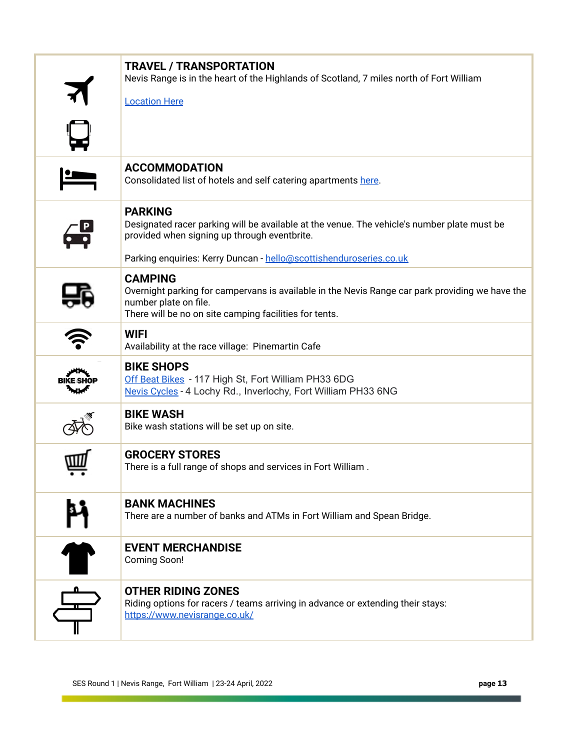| <b>TRAVEL / TRANSPORTATION</b><br>Nevis Range is in the heart of the Highlands of Scotland, 7 miles north of Fort William                                                                            |
|------------------------------------------------------------------------------------------------------------------------------------------------------------------------------------------------------|
| <b>Location Here</b>                                                                                                                                                                                 |
|                                                                                                                                                                                                      |
| <b>ACCOMMODATION</b><br>Consolidated list of hotels and self catering apartments here.                                                                                                               |
| <b>PARKING</b><br>Designated racer parking will be available at the venue. The vehicle's number plate must be<br>provided when signing up through eventbrite.                                        |
| Parking enquiries: Kerry Duncan - hello@scottishenduroseries.co.uk                                                                                                                                   |
| <b>CAMPING</b><br>Overnight parking for campervans is available in the Nevis Range car park providing we have the<br>number plate on file.<br>There will be no on site camping facilities for tents. |
| <b>WIFI</b><br>Availability at the race village: Pinemartin Cafe                                                                                                                                     |
| <b>BIKE SHOPS</b><br>Off Beat Bikes - 117 High St, Fort William PH33 6DG<br>Nevis Cycles - 4 Lochy Rd., Inverlochy, Fort William PH33 6NG                                                            |
| <b>BIKE WASH</b><br>Bike wash stations will be set up on site.                                                                                                                                       |
| <b>GROCERY STORES</b><br>There is a full range of shops and services in Fort William.                                                                                                                |
| <b>BANK MACHINES</b><br>There are a number of banks and ATMs in Fort William and Spean Bridge.                                                                                                       |
| <b>EVENT MERCHANDISE</b><br><b>Coming Soon!</b>                                                                                                                                                      |
| <b>OTHER RIDING ZONES</b><br>Riding options for racers / teams arriving in advance or extending their stays:<br>https://www.nevisrange.co.uk/                                                        |